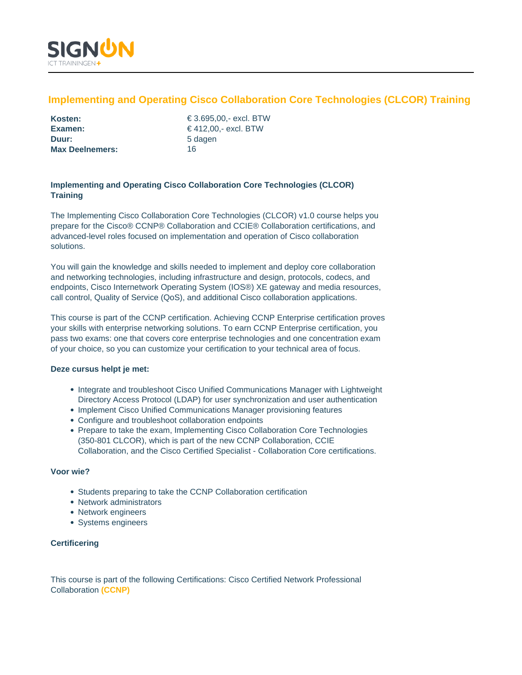

# **Implementing and Operating Cisco Collaboration Core Technologies (CLCOR) Training**

| Kosten:                |    |
|------------------------|----|
| Examen:                | €، |
| Duur:                  | 50 |
| <b>Max Deelnemers:</b> | 16 |

**Kosten:** € 3.695,00,- excl. BTW **Examen:** € 412,00,- excl. BTW **Duur:** 5 dagen

# **Implementing and Operating Cisco Collaboration Core Technologies (CLCOR) Training**

The Implementing Cisco Collaboration Core Technologies (CLCOR) v1.0 course helps you prepare for the Cisco® CCNP® Collaboration and CCIE® Collaboration certifications, and advanced-level roles focused on implementation and operation of Cisco collaboration solutions.

You will gain the knowledge and skills needed to implement and deploy core collaboration and networking technologies, including infrastructure and design, protocols, codecs, and endpoints, Cisco Internetwork Operating System (IOS®) XE gateway and media resources, call control, Quality of Service (QoS), and additional Cisco collaboration applications.

This course is part of the CCNP certification. Achieving CCNP Enterprise certification proves your skills with enterprise networking solutions. To earn CCNP Enterprise certification, you pass two exams: one that covers core enterprise technologies and one concentration exam of your choice, so you can customize your certification to your technical area of focus.

# **Deze cursus helpt je met:**

- Integrate and troubleshoot Cisco Unified Communications Manager with Lightweight Directory Access Protocol (LDAP) for user synchronization and user authentication
- Implement Cisco Unified Communications Manager provisioning features
- Configure and troubleshoot collaboration endpoints
- Prepare to take the exam, Implementing Cisco Collaboration Core Technologies (350-801 CLCOR), which is part of the new CCNP Collaboration, CCIE Collaboration, and the Cisco Certified Specialist - Collaboration Core certifications.

# **Voor wie?**

- Students preparing to take the CCNP Collaboration certification
- Network administrators
- Network engineers
- Systems engineers

# **Certificering**

This course is part of the following Certifications: Cisco Certified Network Professional Collaboration **(CCNP)**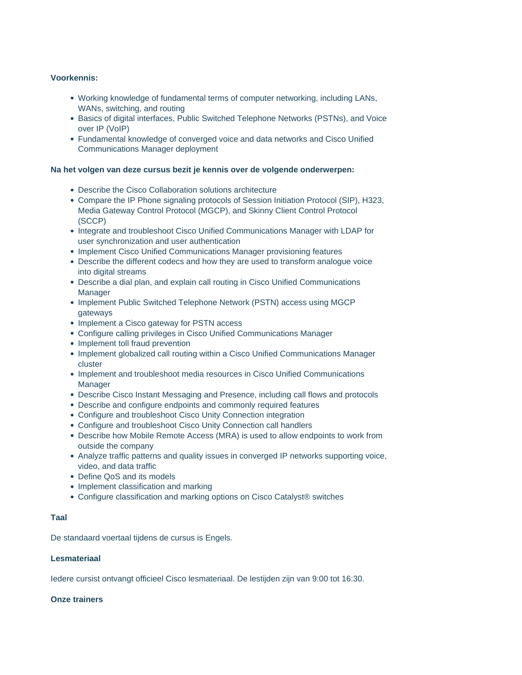# **Voorkennis:**

- Working knowledge of fundamental terms of computer networking, including LANs, WANs, switching, and routing
- **Basics of digital interfaces, Public Switched Telephone Networks (PSTNs), and Voice** over IP (VoIP)
- Fundamental knowledge of converged voice and data networks and Cisco Unified Communications Manager deployment

# **Na het volgen van deze cursus bezit je kennis over de volgende onderwerpen:**

- Describe the Cisco Collaboration solutions architecture
- Compare the IP Phone signaling protocols of Session Initiation Protocol (SIP), H323, Media Gateway Control Protocol (MGCP), and Skinny Client Control Protocol (SCCP)
- Integrate and troubleshoot Cisco Unified Communications Manager with LDAP for user synchronization and user authentication
- Implement Cisco Unified Communications Manager provisioning features
- Describe the different codecs and how they are used to transform analogue voice into digital streams
- Describe a dial plan, and explain call routing in Cisco Unified Communications **Manager**
- Implement Public Switched Telephone Network (PSTN) access using MGCP gateways
- Implement a Cisco gateway for PSTN access
- Configure calling privileges in Cisco Unified Communications Manager
- Implement toll fraud prevention
- Implement globalized call routing within a Cisco Unified Communications Manager cluster
- Implement and troubleshoot media resources in Cisco Unified Communications Manager
- Describe Cisco Instant Messaging and Presence, including call flows and protocols
- Describe and configure endpoints and commonly required features
- Configure and troubleshoot Cisco Unity Connection integration
- Configure and troubleshoot Cisco Unity Connection call handlers
- Describe how Mobile Remote Access (MRA) is used to allow endpoints to work from outside the company
- Analyze traffic patterns and quality issues in converged IP networks supporting voice, video, and data traffic
- Define QoS and its models
- Implement classification and marking
- Configure classification and marking options on Cisco Catalyst® switches

#### **Taal**

De standaard voertaal tijdens de cursus is Engels.

### **Lesmateriaal**

Iedere cursist ontvangt officieel Cisco lesmateriaal. De lestijden zijn van 9:00 tot 16:30.

# **Onze trainers**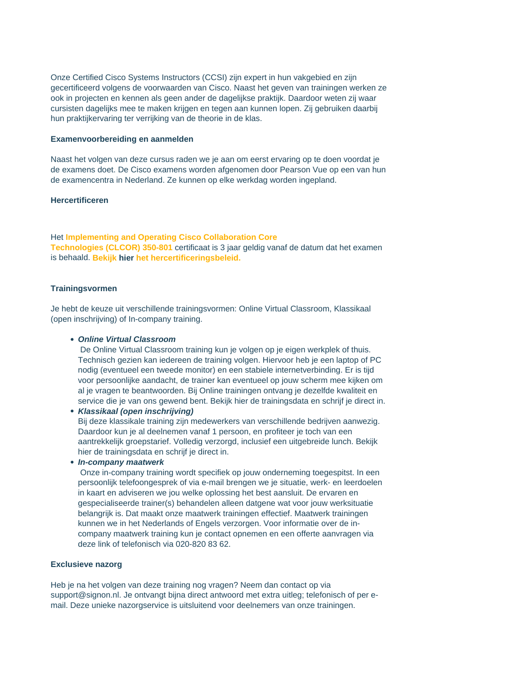Onze Certified Cisco Systems Instructors (CCSI) zijn expert in hun vakgebied en zijn gecertificeerd volgens de voorwaarden van Cisco. Naast het geven van trainingen werken ze ook in projecten en kennen als geen ander de dagelijkse praktijk. Daardoor weten zij waar cursisten dagelijks mee te maken krijgen en tegen aan kunnen lopen. Zij gebruiken daarbij hun praktijkervaring ter verrijking van de theorie in de klas.

#### **Examenvoorbereiding en aanmelden**

Naast het volgen van deze cursus raden we je aan om eerst ervaring op te doen voordat je de examens doet. De Cisco examens worden afgenomen door Pearson Vue op een van hun de examencentra in Nederland. Ze kunnen op elke werkdag worden ingepland.

#### **Hercertificeren**

Het **Implementing and Operating Cisco Collaboration Core Technologies (CLCOR) 350-801** certificaat is 3 jaar geldig vanaf de datum dat het examen is behaald. **Bekijk hier het hercertificeringsbeleid.**

# **Trainingsvormen**

Je hebt de keuze uit verschillende trainingsvormen: Online Virtual Classroom, Klassikaal (open inschrijving) of In-company training.

#### **Online Virtual Classroom**

De Online Virtual Classroom training kun je volgen op je eigen werkplek of thuis. Technisch gezien kan iedereen de training volgen. Hiervoor heb je een laptop of PC nodig (eventueel een tweede monitor) en een stabiele internetverbinding. Er is tijd voor persoonlijke aandacht, de trainer kan eventueel op jouw scherm mee kijken om al je vragen te beantwoorden. Bij Online trainingen ontvang je dezelfde kwaliteit en service die je van ons gewend bent. Bekijk hier de trainingsdata en schrijf je direct in.

**Klassikaal (open inschrijving)** Bij deze klassikale training zijn medewerkers van verschillende bedrijven aanwezig. Daardoor kun je al deelnemen vanaf 1 persoon, en profiteer je toch van een aantrekkelijk groepstarief. Volledig verzorgd, inclusief een uitgebreide lunch. Bekijk hier de trainingsdata en schrijf je direct in.

**In-company maatwerk**

Onze in-company training wordt specifiek op jouw onderneming toegespitst. In een persoonlijk telefoongesprek of via e-mail brengen we je situatie, werk- en leerdoelen in kaart en adviseren we jou welke oplossing het best aansluit. De ervaren en gespecialiseerde trainer(s) behandelen alleen datgene wat voor jouw werksituatie belangrijk is. Dat maakt onze maatwerk trainingen effectief. Maatwerk trainingen kunnen we in het Nederlands of Engels verzorgen. Voor informatie over de incompany maatwerk training kun je contact opnemen en een offerte aanvragen via deze link of telefonisch via 020-820 83 62.

#### **Exclusieve nazorg**

Heb je na het volgen van deze training nog vragen? Neem dan contact op via support@signon.nl. Je ontvangt bijna direct antwoord met extra uitleg; telefonisch of per email. Deze unieke nazorgservice is uitsluitend voor deelnemers van onze trainingen.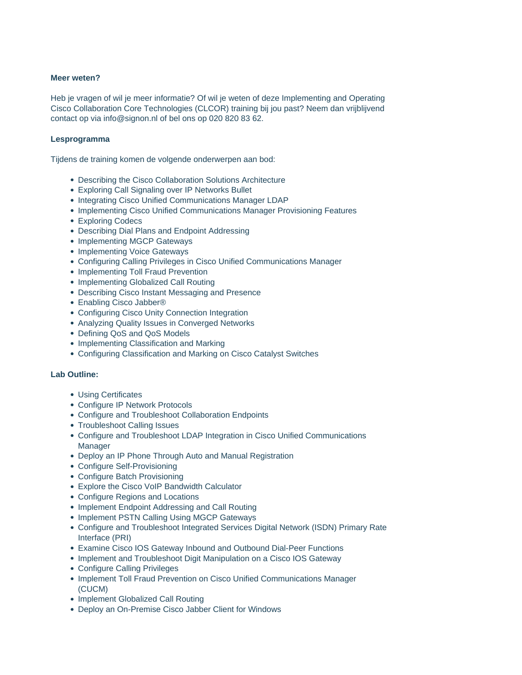# **Meer weten?**

Heb je vragen of wil je meer informatie? Of wil je weten of deze Implementing and Operating Cisco Collaboration Core Technologies (CLCOR) training bij jou past? Neem dan vrijblijvend contact op via info@signon.nl of bel ons op 020 820 83 62.

### **Lesprogramma**

Tijdens de training komen de volgende onderwerpen aan bod:

- Describing the Cisco Collaboration Solutions Architecture
- Exploring Call Signaling over IP Networks Bullet
- Integrating Cisco Unified Communications Manager LDAP
- Implementing Cisco Unified Communications Manager Provisioning Features
- Exploring Codecs
- Describing Dial Plans and Endpoint Addressing
- Implementing MGCP Gateways
- Implementing Voice Gateways
- Configuring Calling Privileges in Cisco Unified Communications Manager
- Implementing Toll Fraud Prevention
- Implementing Globalized Call Routing
- Describing Cisco Instant Messaging and Presence
- Enabling Cisco Jabber®
- Configuring Cisco Unity Connection Integration
- Analyzing Quality Issues in Converged Networks
- Defining QoS and QoS Models
- Implementing Classification and Marking
- Configuring Classification and Marking on Cisco Catalyst Switches

# **Lab Outline:**

- Using Certificates
- Configure IP Network Protocols
- Configure and Troubleshoot Collaboration Endpoints
- Troubleshoot Calling Issues
- Configure and Troubleshoot LDAP Integration in Cisco Unified Communications Manager
- Deploy an IP Phone Through Auto and Manual Registration
- Configure Self-Provisioning
- Configure Batch Provisioning
- Explore the Cisco VoIP Bandwidth Calculator
- Configure Regions and Locations
- Implement Endpoint Addressing and Call Routing
- Implement PSTN Calling Using MGCP Gateways
- Configure and Troubleshoot Integrated Services Digital Network (ISDN) Primary Rate Interface (PRI)
- Examine Cisco IOS Gateway Inbound and Outbound Dial-Peer Functions
- Implement and Troubleshoot Digit Manipulation on a Cisco IOS Gateway
- Configure Calling Privileges
- Implement Toll Fraud Prevention on Cisco Unified Communications Manager (CUCM)
- Implement Globalized Call Routing
- Deploy an On-Premise Cisco Jabber Client for Windows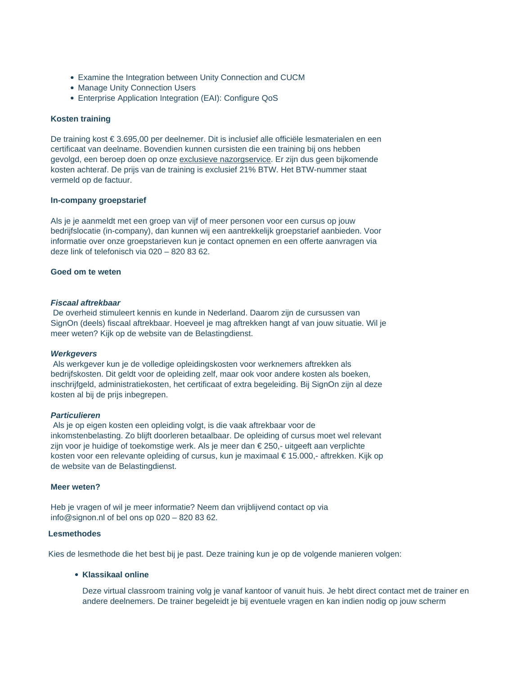- Examine the Integration between Unity Connection and CUCM
- Manage Unity Connection Users
- Enterprise Application Integration (EAI): Configure QoS

#### **Kosten training**

De training kost € 3.695,00 per deelnemer. Dit is inclusief alle officiële lesmaterialen en een certificaat van deelname. Bovendien kunnen cursisten die een training bij ons hebben gevolgd, een beroep doen op onze exclusieve nazorgservice. Er zijn dus geen bijkomende kosten achteraf. De prijs van de training is exclusief 21% BTW. Het BTW-nummer staat vermeld op de factuur.

#### **In-company groepstarief**

Als je je aanmeldt met een groep van vijf of meer personen voor een cursus op jouw bedrijfslocatie (in-company), dan kunnen wij een aantrekkelijk groepstarief aanbieden. Voor informatie over onze groepstarieven kun je contact opnemen en een offerte aanvragen via deze link of telefonisch via 020 – 820 83 62.

# **Goed om te weten**

### **Fiscaal aftrekbaar**

De overheid stimuleert kennis en kunde in Nederland. Daarom zijn de cursussen van SignOn (deels) fiscaal aftrekbaar. Hoeveel je mag aftrekken hangt af van jouw situatie. Wil je meer weten? Kijk op de website van de Belastingdienst.

#### **Werkgevers**

Als werkgever kun je de volledige opleidingskosten voor werknemers aftrekken als bedrijfskosten. Dit geldt voor de opleiding zelf, maar ook voor andere kosten als boeken, inschrijfgeld, administratiekosten, het certificaat of extra begeleiding. Bij SignOn zijn al deze kosten al bij de prijs inbegrepen.

#### **Particulieren**

Als je op eigen kosten een opleiding volgt, is die vaak aftrekbaar voor de inkomstenbelasting. Zo blijft doorleren betaalbaar. De opleiding of cursus moet wel relevant zijn voor je huidige of toekomstige werk. Als je meer dan € 250,- uitgeeft aan verplichte kosten voor een relevante opleiding of cursus, kun je maximaal € 15.000,- aftrekken. Kijk op de website van de Belastingdienst.

#### **Meer weten?**

Heb je vragen of wil je meer informatie? Neem dan vrijblijvend contact op via info@signon.nl of bel ons op 020 – 820 83 62.

# **Lesmethodes**

Kies de lesmethode die het best bij je past. Deze training kun je op de volgende manieren volgen:

# **Klassikaal online**

Deze virtual classroom training volg je vanaf kantoor of vanuit huis. Je hebt direct contact met de trainer en andere deelnemers. De trainer begeleidt je bij eventuele vragen en kan indien nodig op jouw scherm